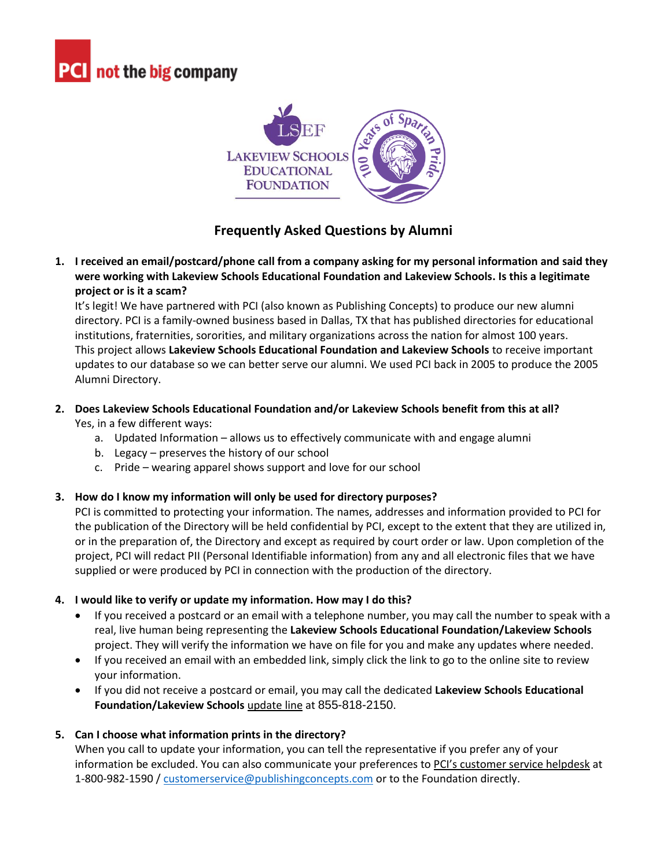



# **Frequently Asked Questions by Alumni**

**1. I received an email/postcard/phone call from a company asking for my personal information and said they were working with Lakeview Schools Educational Foundation and Lakeview Schools. Is this a legitimate project or is it a scam?**

It's legit! We have partnered with PCI (also known as Publishing Concepts) to produce our new alumni directory. PCI is a family-owned business based in Dallas, TX that has published directories for educational institutions, fraternities, sororities, and military organizations across the nation for almost 100 years. This project allows **Lakeview Schools Educational Foundation and Lakeview Schools** to receive important updates to our database so we can better serve our alumni. We used PCI back in 2005 to produce the 2005 Alumni Directory.

#### **2. Does Lakeview Schools Educational Foundation and/or Lakeview Schools benefit from this at all?** Yes, in a few different ways:

- a. Updated Information allows us to effectively communicate with and engage alumni
- b. Legacy preserves the history of our school
- c. Pride wearing apparel shows support and love for our school

## **3. How do I know my information will only be used for directory purposes?**

PCI is committed to protecting your information. The names, addresses and information provided to PCI for the publication of the Directory will be held confidential by PCI, except to the extent that they are utilized in, or in the preparation of, the Directory and except as required by court order or law. Upon completion of the project, PCI will redact PII (Personal Identifiable information) from any and all electronic files that we have supplied or were produced by PCI in connection with the production of the directory.

## **4. I would like to verify or update my information. How may I do this?**

- If you received a postcard or an email with a telephone number, you may call the number to speak with a real, live human being representing the **Lakeview Schools Educational Foundation/Lakeview Schools** project. They will verify the information we have on file for you and make any updates where needed.
- If you received an email with an embedded link, simply click the link to go to the online site to review your information.
- If you did not receive a postcard or email, you may call the dedicated **Lakeview Schools Educational Foundation/Lakeview Schools** update line at 855-818-2150.

## **5. Can I choose what information prints in the directory?**

When you call to update your information, you can tell the representative if you prefer any of your information be excluded. You can also communicate your preferences to PCI's customer service helpdesk at 1-800-982-1590 / [customerservice@publishingconcepts.com](mailto:customerservice@publishingconcepts.com) or to the Foundation directly.